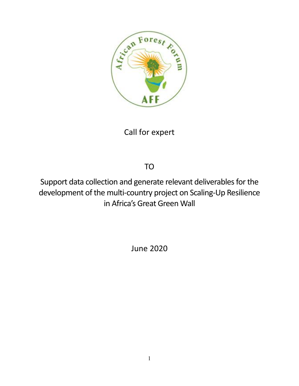

Call for expert

TO

Support data collection and generate relevant deliverables for the development of the multi-country project on Scaling-Up Resilience in Africa's Great Green Wall

June 2020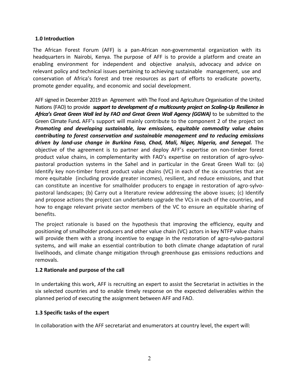#### **1.0 Introduction**

The African Forest Forum (AFF) is a pan-African non-governmental organization with its headquarters in Nairobi, Kenya. The purpose of AFF is to provide a platform and create an enabling environment for independent and objective analysis, advocacy and advice on relevant policy and technical issues pertaining to achieving sustainable management, use and conservation of Africa's forest and tree resources as part of efforts to eradicate poverty, promote gender equality, and economic and social development.

AFF signed in December 2019 an Agreement with The Food and Agriculture Organisation of the United Nations (FAO) to provide *support to development of a multicounty project on Scaling-Up Resilience in Africa's Great Green Wall led by FAO and Great Green Wall Agency (GGWA)* to be submitted to the Green Climate Fund*.* AFF's support will mainly contribute to the component 2 of the project on *Promoting and developing sustainable, low emissions, equitable commodity value chains contributing to forest conservation and sustainable management and to reducing emissions driven by land-use change in Burkina Faso, Chad, Mali, Niger, Nigeria, and Senegal.* The objective of the agreement is to partner and deploy AFF's expertise on non-timber forest product value chains, in complementarity with FAO's expertise on restoration of agro-sylvopastoral production systems in the Sahel and in particular in the Great Green Wall to: (a) Identify key non-timber forest product value chains (VC) in each of the six countries that are more equitable (including provide greater incomes), resilient, and reduce emissions, and that can constitute an incentive for smallholder producers to engage in restoration of agro-sylvopastoral landscapes; (b) Carry out a literature review addressing the above issues; (c) Identify and propose actions the project can undertaketo upgrade the VCs in each of the countries, and how to engage relevant private sector members of the VC to ensure an equitable sharing of benefits.

The project rationale is based on the hypothesis that improving the efficiency, equity and positioning of smallholder producers and other value chain (VC) actors in key NTFP value chains will provide them with a strong incentive to engage in the restoration of agro-sylvo-pastoral systems, and will make an essential contribution to both climate change adaptation of rural livelihoods, and climate change mitigation through greenhouse gas emissions reductions and removals.

#### **1.2 Rationale and purpose of the call**

In undertaking this work, AFF is recruiting an expert to assist the Secretariat in activities in the six selected countries and to enable timely response on the expected deliverables within the planned period of executing the assignment between AFF and FAO.

### **1.3 Specific tasks of the expert**

In collaboration with the AFF secretariat and enumerators at country level, the expert will: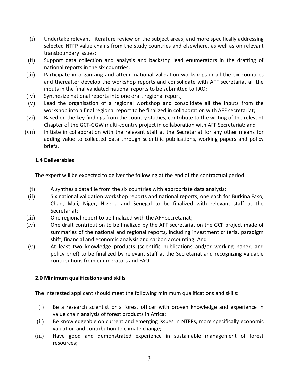- (i) Undertake relevant literature review on the subject areas, and more specifically addressing selected NTFP value chains from the study countries and elsewhere, as well as on relevant transboundary issues;
- (ii) Support data collection and analysis and backstop lead enumerators in the drafting of national reports in the six countries;
- (iii) Participate in organizing and attend national validation workshops in all the six countries and thereafter develop the workshop reports and consolidate with AFF secretariat all the inputs in the final validated national reports to be submitted to FAO;
- (iv) Synthesize national reports into one draft regional report;
- (v) Lead the organisation of a regional workshop and consolidate all the inputs from the workshop into a final regional report to be finalized in collaboration with AFF secretariat;
- (vi) Based on the key findings from the country studies, contribute to the writing of the relevant Chapter of the GCF-GGW multi-country project in collaboration with AFF Secretariat; and
- (vii) Initiate in collaboration with the relevant staff at the Secretariat for any other means for adding value to collected data through scientific publications, working papers and policy briefs.

# **1.4 Deliverables**

The expert will be expected to deliver the following at the end of the contractual period:

- (i) A synthesis data file from the six countries with appropriate data analysis;
- (ii) Six national validation workshop reports and national reports, one each for Burkina Faso, Chad, Mali, Niger, Nigeria and Senegal to be finalized with relevant staff at the Secretariat;
- (iii) One regional report to be finalized with the AFF secretariat;
- (iv) One draft contribution to be finalized by the AFF secretariat on the GCF project made of summaries of the national and regional reports, including investment criteria, paradigm shift, financial and economic analysis and carbon accounting; And
- (v) At least two knowledge products (scientific publications and/or working paper, and policy brief) to be finalized by relevant staff at the Secretariat and recognizing valuable contributions from enumerators and FAO.

### **2.0 Minimum qualifications and skills**

The interested applicant should meet the following minimum qualifications and skills:

- (i) Be a research scientist or a forest officer with proven knowledge and experience in value chain analysis of forest products in Africa;
- (ii) Be knowledgeable on current and emerging issues in NTFPs, more specifically economic valuation and contribution to climate change;
- (iii) Have good and demonstrated experience in sustainable management of forest resources;